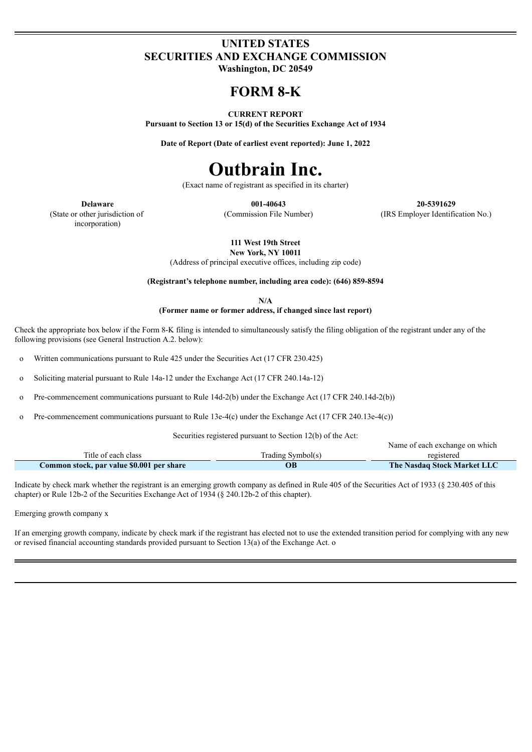# **UNITED STATES SECURITIES AND EXCHANGE COMMISSION**

**Washington, DC 20549**

# **FORM 8-K**

#### **CURRENT REPORT**

**Pursuant to Section 13 or 15(d) of the Securities Exchange Act of 1934**

**Date of Report (Date of earliest event reported): June 1, 2022**

# **Outbrain Inc.**

(Exact name of registrant as specified in its charter)

(State or other jurisdiction of incorporation)

**Delaware 001-40643 20-5391629** (Commission File Number) (IRS Employer Identification No.)

Name of each exchange on which

**111 West 19th Street**

**New York, NY 10011**

(Address of principal executive offices, including zip code)

**(Registrant's telephone number, including area code): (646) 859-8594**

**N/A**

**(Former name or former address, if changed since last report)**

Check the appropriate box below if the Form 8-K filing is intended to simultaneously satisfy the filing obligation of the registrant under any of the following provisions (see General Instruction A.2. below):

o Written communications pursuant to Rule 425 under the Securities Act (17 CFR 230.425)

o Soliciting material pursuant to Rule 14a-12 under the Exchange Act (17 CFR 240.14a-12)

o Pre-commencement communications pursuant to Rule 14d-2(b) under the Exchange Act (17 CFR 240.14d-2(b))

o Pre-commencement communications pursuant to Rule 13e-4(c) under the Exchange Act (17 CFR 240.13e-4(c))

Securities registered pursuant to Section 12(b) of the Act:

| Title of each class                       | Trading Symbol(s) | registered                         |
|-------------------------------------------|-------------------|------------------------------------|
| Common stock, par value \$0.001 per share | ОB                | <b>The Nasdaq Stock Market LLC</b> |

Indicate by check mark whether the registrant is an emerging growth company as defined in Rule 405 of the Securities Act of 1933 (§ 230.405 of this chapter) or Rule 12b-2 of the Securities Exchange Act of 1934 (§ 240.12b-2 of this chapter).

Emerging growth company x

If an emerging growth company, indicate by check mark if the registrant has elected not to use the extended transition period for complying with any new or revised financial accounting standards provided pursuant to Section 13(a) of the Exchange Act. o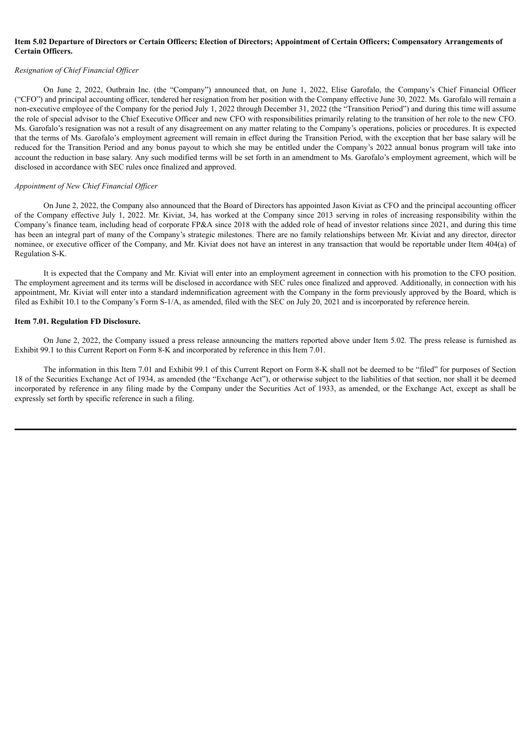#### Item 5.02 Departure of Directors or Certain Officers; Election of Directors; Appointment of Certain Officers; Compensatory Arrangements of **Certain Officers.**

#### *Resignation of Chief Financial Of icer*

On June 2, 2022, Outbrain Inc. (the "Company") announced that, on June 1, 2022, Elise Garofalo, the Company's Chief Financial Officer ("CFO") and principal accounting officer, tendered her resignation from her position with the Company effective June 30, 2022. Ms. Garofalo will remain a non-executive employee of the Company for the period July 1, 2022 through December 31, 2022 (the "Transition Period") and during this time will assume the role of special advisor to the Chief Executive Officer and new CFO with responsibilities primarily relating to the transition of her role to the new CFO. Ms. Garofalo's resignation was not a result of any disagreement on any matter relating to the Company's operations, policies or procedures. It is expected that the terms of Ms. Garofalo's employment agreement will remain in effect during the Transition Period, with the exception that her base salary will be reduced for the Transition Period and any bonus payout to which she may be entitled under the Company's 2022 annual bonus program will take into account the reduction in base salary. Any such modified terms will be set forth in an amendment to Ms. Garofalo's employment agreement, which will be disclosed in accordance with SEC rules once finalized and approved.

#### *Appointment of New Chief Financial Of icer*

On June 2, 2022, the Company also announced that the Board of Directors has appointed Jason Kiviat as CFO and the principal accounting officer of the Company effective July 1, 2022. Mr. Kiviat, 34, has worked at the Company since 2013 serving in roles of increasing responsibility within the Company's finance team, including head of corporate FP&A since 2018 with the added role of head of investor relations since 2021, and during this time has been an integral part of many of the Company's strategic milestones. There are no family relationships between Mr. Kiviat and any director, director nominee, or executive officer of the Company, and Mr. Kiviat does not have an interest in any transaction that would be reportable under Item 404(a) of Regulation S-K.

It is expected that the Company and Mr. Kiviat will enter into an employment agreement in connection with his promotion to the CFO position. The employment agreement and its terms will be disclosed in accordance with SEC rules once finalized and approved. Additionally, in connection with his appointment, Mr. Kiviat will enter into a standard indemnification agreement with the Company in the form previously approved by the Board, which is filed as Exhibit 10.1 to the Company's Form S-1/A, as amended, filed with the SEC on July 20, 2021 and is incorporated by reference herein.

#### **Item 7.01. Regulation FD Disclosure.**

On June 2, 2022, the Company issued a press release announcing the matters reported above under Item 5.02. The press release is furnished as Exhibit 99.1 to this Current Report on Form 8-K and incorporated by reference in this Item 7.01.

The information in this Item 7.01 and Exhibit 99.1 of this Current Report on Form 8-K shall not be deemed to be "filed" for purposes of Section 18 of the Securities Exchange Act of 1934, as amended (the "Exchange Act"), or otherwise subject to the liabilities of that section, nor shall it be deemed incorporated by reference in any filing made by the Company under the Securities Act of 1933, as amended, or the Exchange Act, except as shall be expressly set forth by specific reference in such a filing.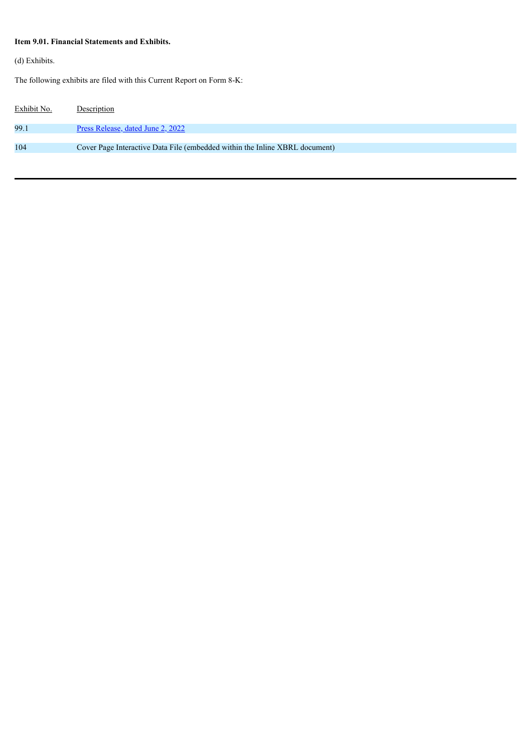# **Item 9.01. Financial Statements and Exhibits.**

(d) Exhibits.

The following exhibits are filed with this Current Report on Form 8-K:

| Exhibit No. | Description                                                                 |
|-------------|-----------------------------------------------------------------------------|
| 99.1        | Press Release, dated June 2, 2022                                           |
|             |                                                                             |
| 104         | Cover Page Interactive Data File (embedded within the Inline XBRL document) |
|             |                                                                             |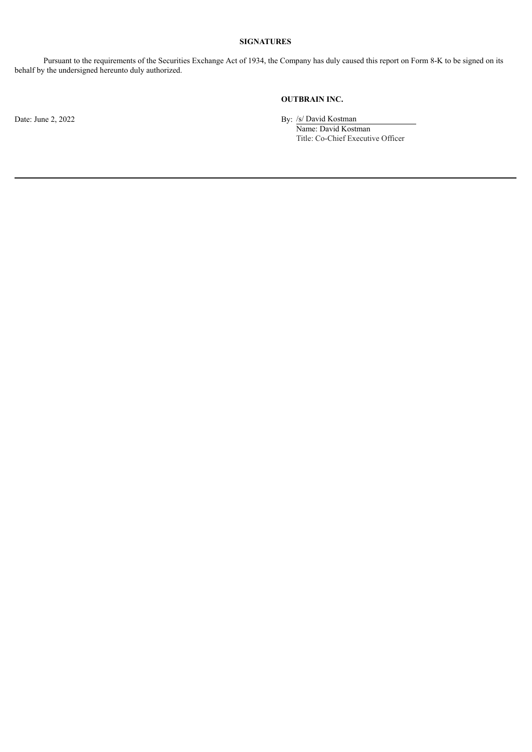## **SIGNATURES**

Pursuant to the requirements of the Securities Exchange Act of 1934, the Company has duly caused this report on Form 8-K to be signed on its behalf by the undersigned hereunto duly authorized.

## **OUTBRAIN INC.**

Date: June 2, 2022 By: /s/ David Kostman

Name: David Kostman Title: Co-Chief Executive Officer